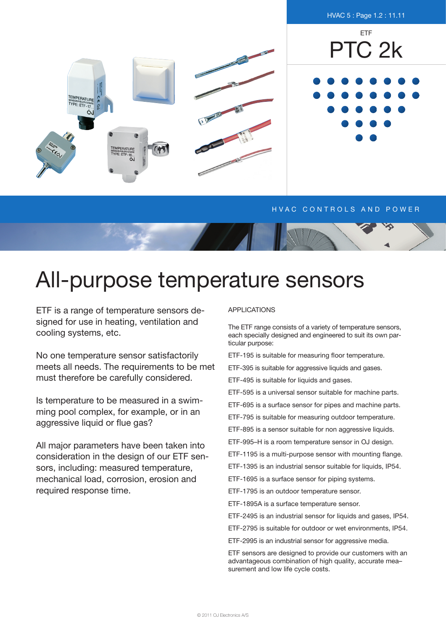

## H V A C CONTROLS AND POWER

## All-purpose temperature sensors

ETF is a range of temperature sensors designed for use in heating, ventilation and cooling systems, etc.

No one temperature sensor satisfactorily meets all needs. The requirements to be met must therefore be carefully considered.

Is temperature to be measured in a swimming pool complex, for example, or in an aggressive liquid or flue gas?

All major parameters have been taken into consideration in the design of our ETF sensors, including: measured temperature, mechanical load, corrosion, erosion and required response time.

## **APPLICATIONS**

The ETF range consists of a variety of temperature sensors, each specially designed and engineered to suit its own particular purpose:

ETF-195 is suitable for measuring floor temperature.

ETF-395 is suitable for aggressive liquids and gases.

ETF-495 is suitable for liquids and gases.

ETF-595 is a universal sensor suitable for machine parts.

ETF-695 is a surface sensor for pipes and machine parts.

ETF-795 is suitable for measuring outdoor temperature.

ETF-895 is a sensor suitable for non aggressive liquids.

ETF-995–H is a room temperature sensor in OJ design.

ETF-1195 is a multi-purpose sensor with mounting flange.

ETF-1395 is an industrial sensor suitable for liquids, IP54.

ETF-1695 is a surface sensor for piping systems.

ETF-1795 is an outdoor temperature sensor.

ETF-1895A is a surface temperature sensor.

ETF-2495 is an industrial sensor for liquids and gases, IP54.

ETF-2795 is suitable for outdoor or wet environments, IP54.

ETF-2995 is an industrial sensor for aggressive media.

ETF sensors are designed to provide our customers with an advantageous combination of high quality, accurate mea– surement and low life cycle costs.